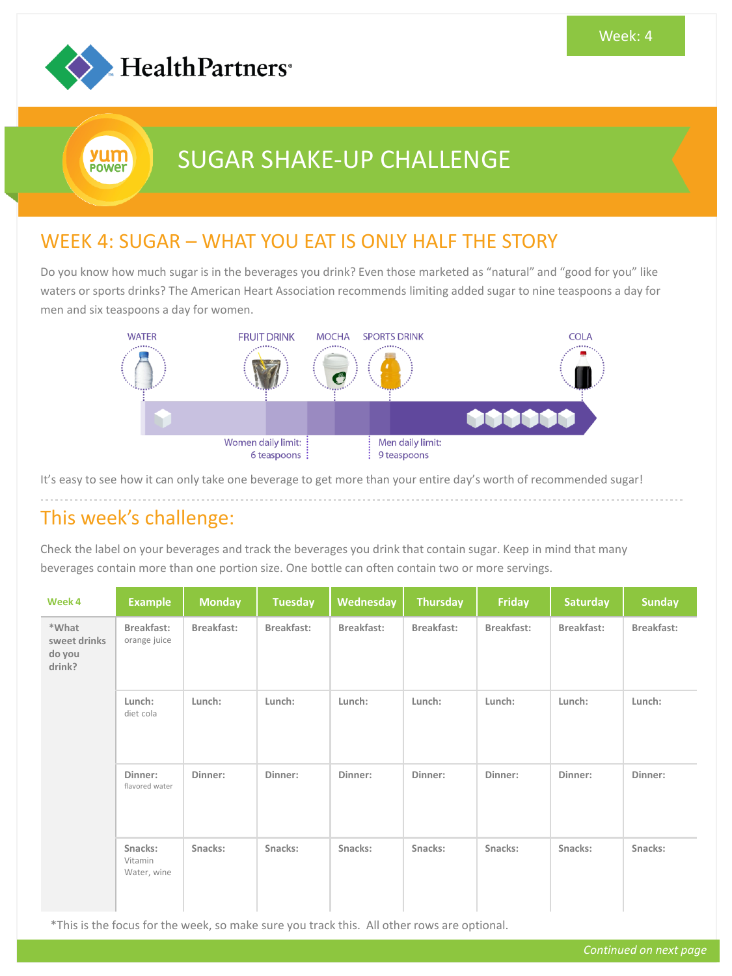

yum Power

# SUGAR SHAKE-UP CHALLENGE

#### WEEK 4: SUGAR – WHAT YOU EAT IS ONLY HALF THE STORY

Do you know how much sugar is in the beverages you drink? Even those marketed as "natural" and "good for you" like waters or sports drinks? The American Heart Association recommends limiting added sugar to nine teaspoons a day for men and six teaspoons a day for women.



It's easy to see how it can only take one beverage to get more than your entire day's worth of recommended sugar!

### This week's challenge:

Check the label on your beverages and track the beverages you drink that contain sugar. Keep in mind that many beverages contain more than one portion size. One bottle can often contain two or more servings.

| Week 4                                    | <b>Example</b>                    | <b>Monday</b> | <b>Tuesday</b> | Wednesday  | <b>Thursday</b> | Friday     | <b>Saturday</b> | <b>Sunday</b> |
|-------------------------------------------|-----------------------------------|---------------|----------------|------------|-----------------|------------|-----------------|---------------|
| *What<br>sweet drinks<br>do you<br>drink? | Breakfast:<br>orange juice        | Breakfast:    | Breakfast:     | Breakfast: | Breakfast:      | Breakfast: | Breakfast:      | Breakfast:    |
|                                           | Lunch:<br>diet cola               | Lunch:        | Lunch:         | Lunch:     | Lunch:          | Lunch:     | Lunch:          | Lunch:        |
|                                           | Dinner:<br>flavored water         | Dinner:       | Dinner:        | Dinner:    | Dinner:         | Dinner:    | Dinner:         | Dinner:       |
|                                           | Snacks:<br>Vitamin<br>Water, wine | Snacks:       | Snacks:        | Snacks:    | Snacks:         | Snacks:    | Snacks:         | Snacks:       |

\*This is the focus for the week, so make sure you track this. All other rows are optional.